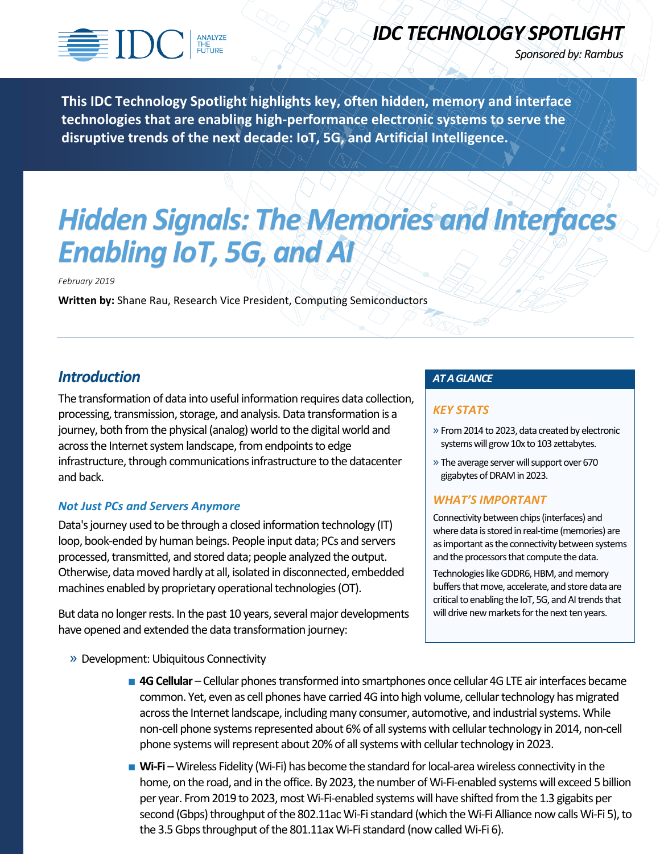

## *IDC TECHNOLOGY SPOTLIGHT*

*Sponsored by: Rambus*

**This IDC Technology Spotlight highlights key, often hidden, memory and interface technologies that are enabling high-performance electronic systems to serve the disruptive trends of the next decade: IoT, 5G, and Artificial Intelligence.** 

# *Hidden Signals: The Memories and Interfaces Enabling IoT, 5G, and AI*

*February 2019*

**Written by:** Shane Rau, Research Vice President, Computing Semiconductors

## *Introduction*

The transformation of data into useful information requires data collection, processing, transmission, storage, and analysis. Data transformation is a journey, both from the physical (analog) world to the digital world and across the Internet system landscape, from endpoints to edge infrastructure, through communications infrastructure to the datacenter and back.

## *Not Just PCs and Servers Anymore*

Data's journey used to be through a closed information technology (IT) loop, book-ended by human beings. People input data; PCs and servers processed, transmitted, and stored data; people analyzed the output. Otherwise, data moved hardly at all, isolated in disconnected, embedded machines enabled by proprietary operational technologies (OT).

But data no longer rests. In the past 10 years, several major developments have opened and extended the data transformation journey:

» Development: Ubiquitous Connectivity

## *AT A GLANCE*

## *KEY STATS*

- » From 2014 to 2023, data created by electronic systems will grow 10x to 103 zettabytes.
- » The average server will support over 670 gigabytes of DRAM in 2023.

## *WHAT'S IMPORTANT*

Connectivity between chips (interfaces) and where data is stored in real-time (memories) are as important as the connectivity between systems and the processors that compute the data.

Technologies like GDDR6, HBM, and memory buffers that move, accelerate, and store data are critical to enabling the IoT, 5G, and AI trends that will drive new markets for the next ten years.

- **4G Cellular** Cellular phones transformed into smartphones once cellular 4G LTE air interfaces became common. Yet, even as cell phones have carried 4G into high volume, cellular technology has migrated across the Internet landscape, including many consumer, automotive, and industrial systems. While non-cell phone systems represented about 6% of all systems with cellular technology in 2014, non-cell phone systems will represent about 20% of all systems with cellular technology in 2023.
- **Wi-Fi** Wireless Fidelity (Wi-Fi) has become the standard for local-area wireless connectivity in the home, on the road, and in the office. By 2023, the number of Wi-Fi-enabled systems will exceed 5 billion per year. From 2019 to 2023, most Wi-Fi-enabled systems will have shifted from the 1.3 gigabits per second (Gbps) throughput of the 802.11ac Wi-Fi standard (which the Wi-Fi Alliance now calls Wi-Fi 5), to the 3.5 Gbps throughput of the 801.11ax Wi-Fi standard (now called Wi-Fi 6).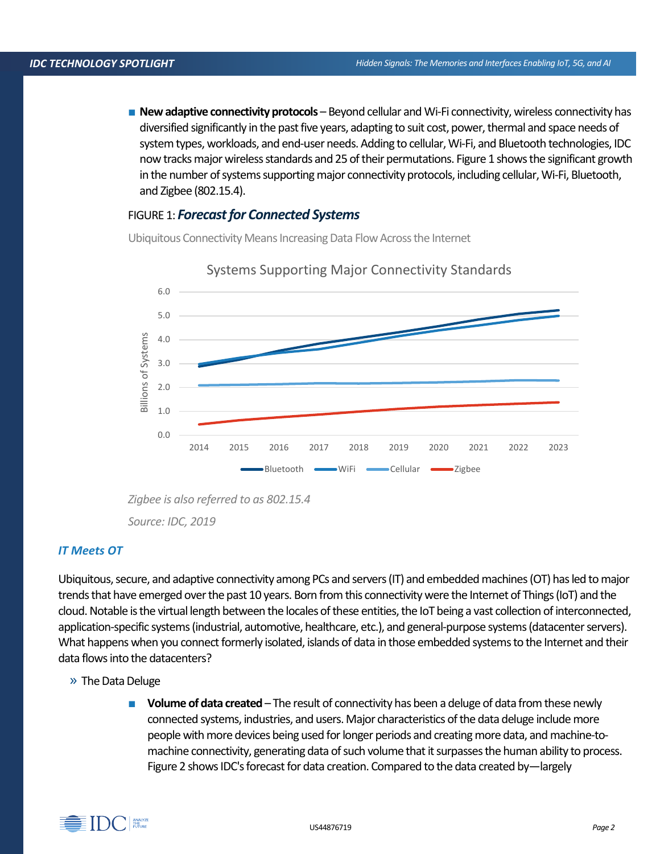■ **New adaptive connectivity protocols** – Beyond cellular and Wi-Fi connectivity, wireless connectivity has diversified significantly in the past five years, adapting to suit cost, power, thermal and space needs of system types, workloads, and end-user needs. Adding to cellular, Wi-Fi, and Bluetooth technologies, IDC now tracks major wireless standards and 25 of their permutations. Figure 1 shows the significant growth in the number of systems supporting major connectivity protocols, including cellular, Wi-Fi, Bluetooth, and Zigbee (802.15.4).

## FIGURE 1: *Forecast for Connected Systems*

Ubiquitous Connectivity Means Increasing Data Flow Across the Internet



## Systems Supporting Major Connectivity Standards

*Zigbee is also referred to as 802.15.4 Source: IDC, 2019*

## *IT Meets OT*

Ubiquitous, secure, and adaptive connectivity among PCs and servers (IT) and embedded machines (OT) has led to major trends that have emerged over the past 10 years. Born from this connectivity were the Internet of Things (IoT) and the cloud. Notable is the virtual length between the locales of these entities, the IoT being a vast collection of interconnected, application-specific systems (industrial, automotive, healthcare, etc.), and general-purpose systems (datacenter servers). What happens when you connect formerly isolated, islands of data in those embedded systems to the Internet and their data flowsinto the datacenters?

» The Data Deluge

**Volume of data created** – The result of connectivity has been a deluge of data from these newly connected systems, industries, and users. Major characteristics of the data deluge include more people with more devices being used for longer periods and creating more data, and machine-tomachine connectivity, generating data of such volume that it surpasses the human ability to process. Figure 2 shows IDC's forecast for data creation. Compared to the data created by—largely

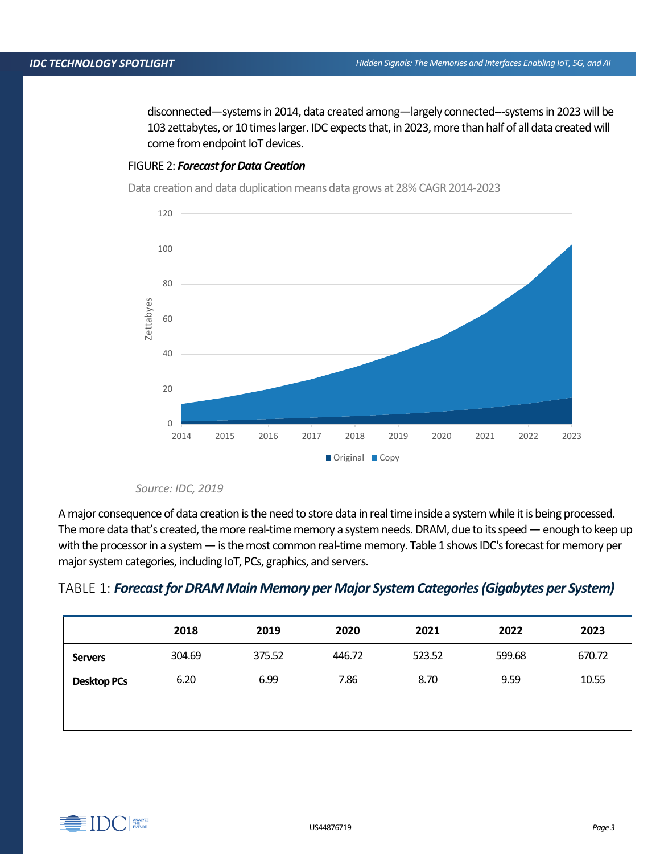disconnected—systems in 2014, data created among—largely connected---systemsin 2023 will be 103 zettabytes, or 10 times larger. IDC expects that, in 2023, more than half of all data created will come from endpoint IoT devices.

### FIGURE 2: *Forecast for Data Creation*

Data creation and data duplication means data grows at 28% CAGR 2014-2023



#### *Source: IDC, 2019*

A major consequence of data creation is the need to store data in real time inside a system while it is being processed. The more data that's created, the more real-time memory a system needs. DRAM, due to its speed—enough to keep up with the processor in a system — is the most common real-time memory. Table 1 shows IDC's forecast for memory per major system categories, including IoT, PCs, graphics, and servers.

| TABLE 1: <b>Forecast for DRAM Main Memory per Major System Categories (Gigabytes per System)</b> |  |  |
|--------------------------------------------------------------------------------------------------|--|--|
|                                                                                                  |  |  |

|                    | 2018   | 2019   | 2020   | 2021   | 2022   | 2023   |
|--------------------|--------|--------|--------|--------|--------|--------|
| <b>Servers</b>     | 304.69 | 375.52 | 446.72 | 523.52 | 599.68 | 670.72 |
| <b>Desktop PCs</b> | 6.20   | 6.99   | 7.86   | 8.70   | 9.59   | 10.55  |
|                    |        |        |        |        |        |        |

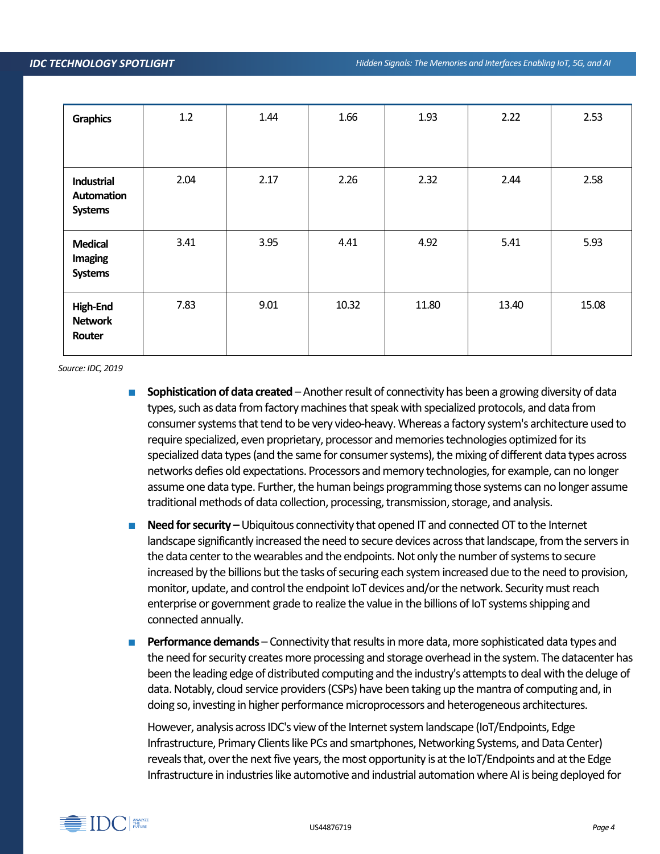| <b>Graphics</b>                             | 1.2  | 1.44 | 1.66  | 1.93  | 2.22  | 2.53  |
|---------------------------------------------|------|------|-------|-------|-------|-------|
|                                             |      |      |       |       |       |       |
| Industrial<br>Automation<br><b>Systems</b>  | 2.04 | 2.17 | 2.26  | 2.32  | 2.44  | 2.58  |
| <b>Medical</b><br>Imaging<br><b>Systems</b> | 3.41 | 3.95 | 4.41  | 4.92  | 5.41  | 5.93  |
| High-End<br><b>Network</b><br>Router        | 7.83 | 9.01 | 10.32 | 11.80 | 13.40 | 15.08 |

*Source: IDC, 2019*

- **Sophistication of data created** Another result of connectivity has been a growing diversity of data types, such as data from factory machines that speak with specialized protocols, and data from consumer systemsthat tend to be very video-heavy. Whereas a factory system's architecture used to require specialized, even proprietary, processor and memories technologies optimized for its specialized data types (and the same for consumer systems), the mixing of different data types across networks defies old expectations. Processors and memory technologies, for example, can no longer assume one data type. Further, the human beings programming those systems can no longer assume traditional methods of data collection, processing, transmission, storage, and analysis.
- **Need for security –** Ubiquitous connectivity that opened IT and connected OT to the Internet landscape significantly increased the need to secure devices across that landscape, from the servers in the data center to the wearables and the endpoints. Not only the number of systems to secure increased by the billions but the tasks of securing each system increased due to the need to provision, monitor, update, and control the endpoint IoT devices and/or the network. Security must reach enterprise or government grade to realize the value in the billions of IoT systems shipping and connected annually.
- **Performance demands** Connectivity that results in more data, more sophisticated data types and the need for security creates more processing and storage overhead in the system. The datacenter has been the leading edge of distributed computing and the industry's attempts to deal with the deluge of data. Notably, cloud service providers (CSPs) have been taking up the mantra of computing and, in doing so, investing in higher performance microprocessors and heterogeneous architectures.

However, analysis across IDC's view of the Internet system landscape (IoT/Endpoints, Edge Infrastructure, Primary Clients like PCs and smartphones, Networking Systems, and Data Center) reveals that, over the next five years, the most opportunity is at the IoT/Endpoints and at the Edge Infrastructure in industries like automotive and industrial automation where AI is being deployed for

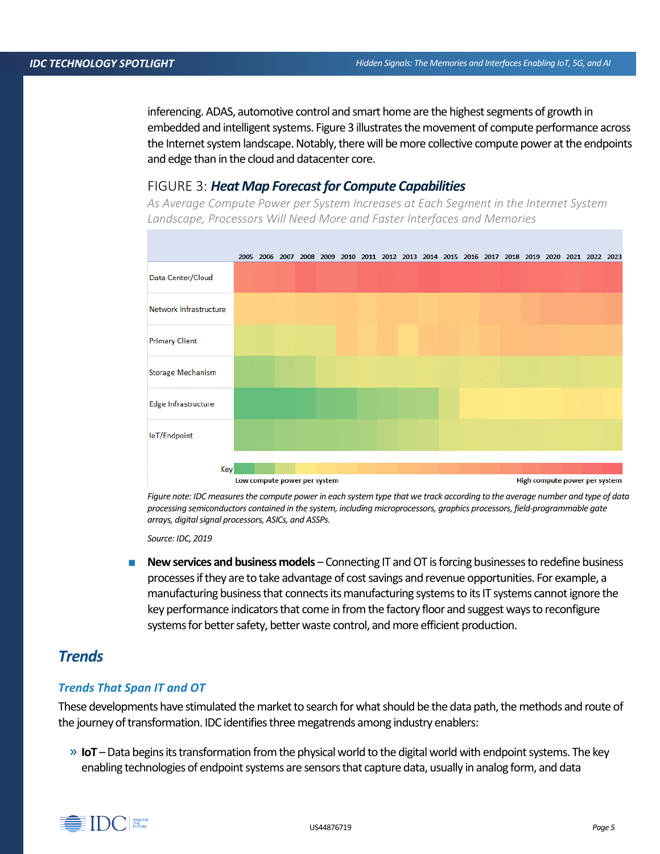inferencing. ADAS, automotive control and smart home are the highest segments of growth in embedded and intelligent systems. Figure 3 illustrates themovement of compute performance across the Internet system landscape. Notably, there will be more collective compute power at the endpoints and edge than in the cloud and datacenter core.

## FIGURE 3: *Heat Map Forecast for Compute Capabilities*

*As Average Compute Power per System Increases at Each Segment in the Internet System Landscape, Processors Will Need More and Faster Interfaces and Memories*



*Figure note: IDC measures the compute power in each system type that we track according to the average number and type of data processing semiconductors contained in the system, including microprocessors, graphics processors, field-programmable gate arrays, digital signal processors, ASICs, and ASSPs.* 

*Source: IDC, 2019*

**New services and business models** – Connecting IT and OT is forcing businesses to redefine business processes if they are to take advantage of cost savings and revenue opportunities. For example, a manufacturing business that connects its manufacturing systems to its IT systems cannot ignore the key performance indicators that come in from the factory floor and suggest ways to reconfigure systems for better safety, better waste control, and more efficient production.

## *Trends*

#### *Trends That Span IT and OT*

These developments have stimulated the market to search for what should be the data path, the methods and route of the journey of transformation. IDC identifies three megatrends among industry enablers:

» **IoT** –Data begins its transformation from the physical world to the digital world with endpoint systems. The key enabling technologies of endpoint systems are sensors that capture data, usually in analog form, and data

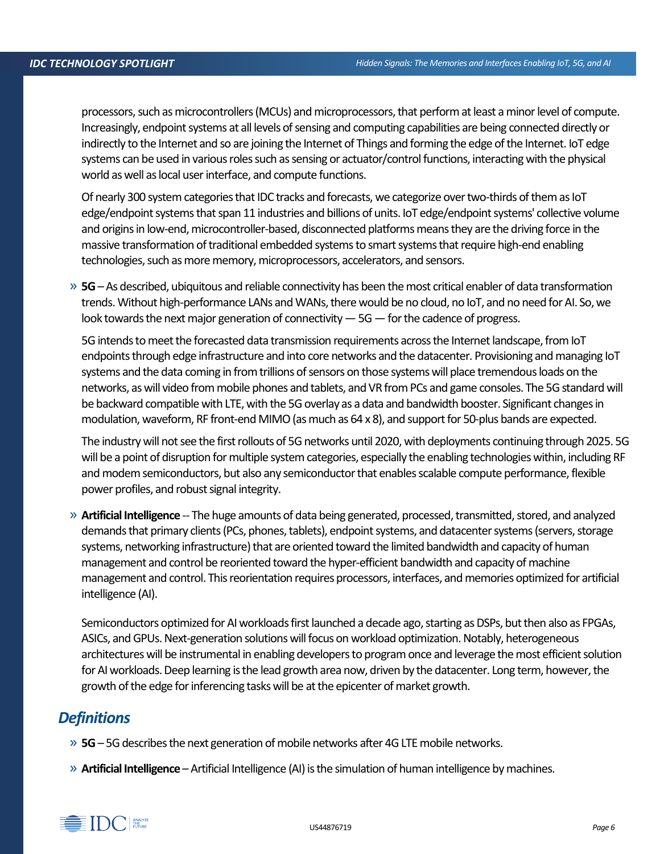processors, such as microcontrollers (MCUs) and microprocessors, that perform at least a minor level of compute. Increasingly, endpoint systems at all levels of sensing and computing capabilities are being connected directly or indirectly to the Internet and so are joining the Internet of Things and forming the edge of the Internet. IoT edge systems can be used in various roles such as sensing or actuator/control functions, interacting with the physical world as well as local user interface, and compute functions.

Of nearly 300 system categories that IDC tracks and forecasts, we categorize over two-thirds of them as IoT edge/endpoint systems that span 11 industries and billions of units. IoT edge/endpoint systems' collective volume and origins in low-end, microcontroller-based, disconnected platforms means they are the driving force in the massive transformation of traditional embedded systems to smart systems that require high-end enabling technologies, such as more memory, microprocessors, accelerators, and sensors.

» **5G**–As described, ubiquitous and reliable connectivity has been the most critical enabler of data transformation trends.Without high-performance LANs and WANs, there would be no cloud, no IoT, and no need for AI. So, we look towards the next major generation of connectivity  $-5G$  — for the cadence of progress.

5G intends to meet the forecasted data transmission requirements across the Internet landscape, from IoT endpoints through edge infrastructure and into core networks and the datacenter. Provisioning and managing IoT systems and the data coming in from trillions of sensors on those systems will place tremendous loads on the networks, as will video from mobile phones and tablets, and VR from PCs and game consoles. The 5G standard will be backward compatible with LTE, with the 5G overlay as a data and bandwidth booster. Significant changes in modulation, waveform, RF front-end MIMO (as much as 64 x 8), and support for 50-plus bands are expected.

The industry will not see the first rollouts of 5G networks until 2020, with deployments continuing through 2025. 5G will be a point of disruption for multiple system categories, especially the enabling technologies within, including RF and modem semiconductors, but also any semiconductor that enables scalable compute performance, flexible power profiles, and robust signal integrity.

» **Artificial Intelligence** -- The huge amounts of data being generated, processed, transmitted, stored, and analyzed demands that primary clients (PCs, phones, tablets), endpoint systems, and datacenter systems (servers, storage systems, networking infrastructure) that are oriented toward the limited bandwidth and capacity of human management and control be reoriented toward the hyper-efficient bandwidth and capacity of machine management and control. This reorientation requires processors, interfaces, and memories optimized for artificial intelligence (AI).

Semiconductors optimized for AI workloads first launched a decade ago, starting as DSPs, but then also as FPGAs, ASICs, and GPUs. Next-generation solutions will focus on workload optimization. Notably, heterogeneous architectures will be instrumental in enabling developers to program once and leverage the most efficient solution for AI workloads. Deep learning is the lead growth area now, driven by the datacenter. Long term, however, the growth of the edge for inferencing tasks will be at the epicenter of market growth.

## *Definitions*

- » **5G** 5G describes the next generation of mobile networks after 4G LTE mobile networks.
- » **Artificial Intelligence** Artificial Intelligence (AI) is the simulation of human intelligence by machines.

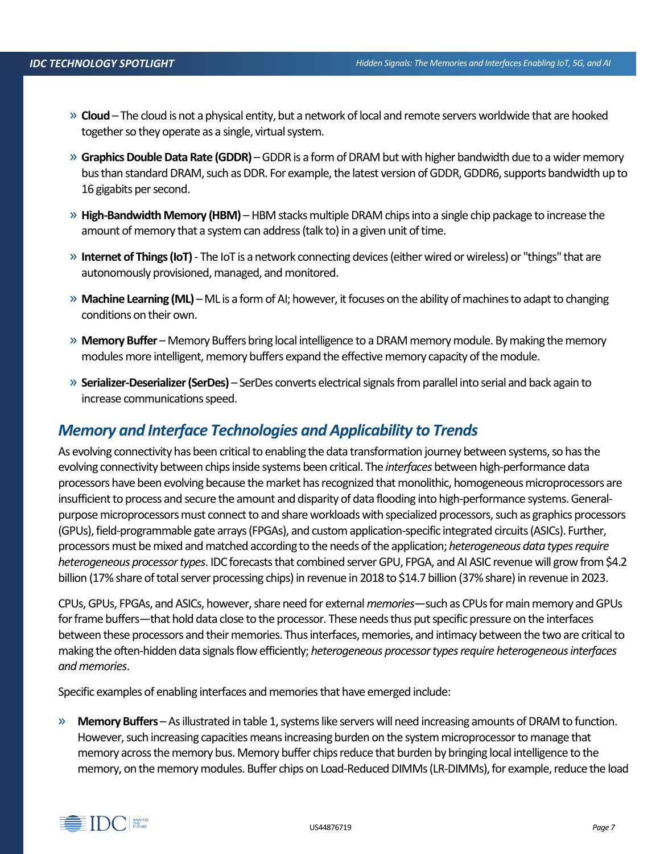- » **Cloud** The cloud is not a physical entity, but a network of local and remote servers worldwide that are hooked together so they operate as a single, virtual system.
- » **Graphics Double Data Rate (GDDR)** –GDDR is a form of DRAM but with higher bandwidth due to a wider memory bus than standard DRAM, such as DDR. For example, the latest version of GDDR, GDDR6, supports bandwidth up to 16 gigabits per second.
- » **High-Bandwidth Memory (HBM)** HBM stacks multiple DRAM chips into a single chip package to increase the amount of memory that a system can address (talk to) in a given unit of time.
- » **Internet of Things (IoT)** The IoT is a network connecting devices (either wired or wireless) or "things" that are autonomously provisioned, managed, and monitored.
- » **Machine Learning (ML)** –ML is a form of AI; however, it focuses on the ability of machines to adapt to changing conditions on their own.
- » **Memory Buffer** Memory Buffers bring local intelligence to a DRAM memory module. By making the memory modules more intelligent, memory buffers expand the effective memory capacity of the module.
- » **Serializer-Deserializer (SerDes)**  SerDes converts electrical signals from parallel into serial and back again to increase communications speed.

## *Memory and Interface Technologies and Applicability to Trends*

As evolving connectivity has been critical to enabling the data transformation journey between systems, so has the evolving connectivity between chipsinside systems been critical. The *interfaces* between high-performance data processors have been evolving because the market has recognized that monolithic, homogeneous microprocessors are insufficient to process and secure the amount and disparity of data flooding into high-performance systems. Generalpurpose microprocessors must connect to and share workloads with specialized processors, such as graphics processors (GPUs), field-programmable gate arrays (FPGAs), and custom application-specific integrated circuits (ASICs). Further, processors must be mixed and matched according to the needs of the application; *heterogeneous data types require heterogeneous processor types*. IDC forecasts that combined server GPU, FPGA, and AI ASIC revenue will grow from \$4.2 billion (17% share of total server processing chips) in revenue in 2018 to \$14.7 billion (37% share) in revenue in 2023.

CPUs, GPUs, FPGAs, and ASICs, however, share need for external *memories*—such as CPUs for main memory and GPUs for frame buffers—that hold data close to the processor. These needs thus put specific pressure on the interfaces between these processors and their memories. Thus interfaces, memories, and intimacy between the two are critical to making the often-hidden data signals flow efficiently; *heterogeneous processor types require heterogeneous interfaces and memories*.

Specific examples of enabling interfaces and memories that have emerged include:

» **Memory Buffers** –As illustrated in table 1, systems like servers will need increasing amounts of DRAM to function. However, such increasing capacities means increasing burden on the system microprocessor tomanage that memory across the memory bus. Memory buffer chips reduce that burden by bringing local intelligence to the memory, on the memory modules. Buffer chips on Load-Reduced DIMMs (LR-DIMMs), for example, reduce the load

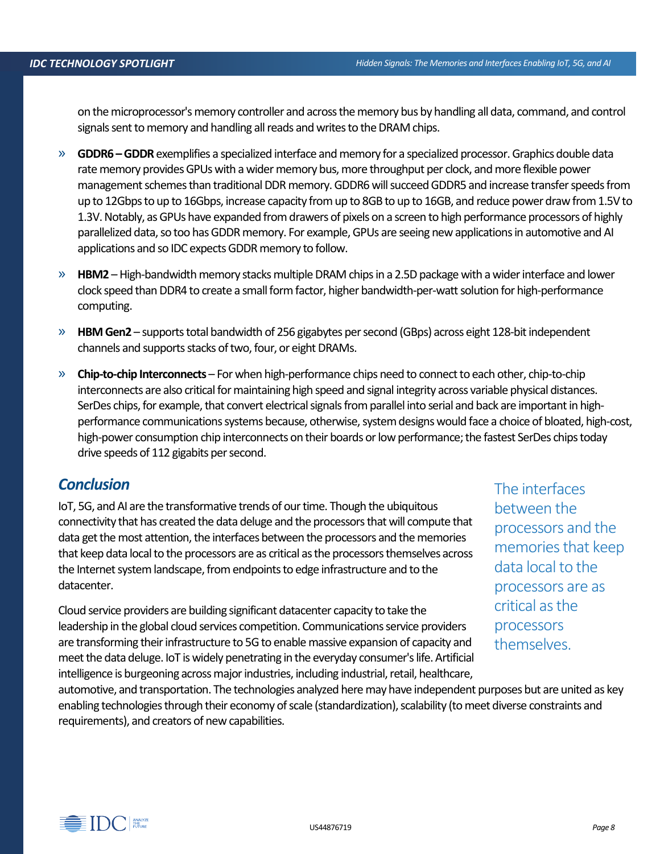on the microprocessor's memory controller and across the memory bus by handling all data, command, and control signals sent to memory and handling all reads and writes to the DRAM chips.

- » **GDDR6 –GDDR**exemplifies a specialized interface and memory for a specialized processor. Graphics double data rate memory provides GPUs with a wider memory bus, more throughput per clock, and more flexible power management schemes than traditional DDR memory. GDDR6 will succeed GDDR5 and increase transfer speeds from up to 12Gbps to up to 16Gbps, increase capacity from up to 8GB to up to 16GB, and reduce power draw from 1.5V to 1.3V. Notably, as GPUs have expanded from drawers of pixels on a screen to high performance processors of highly parallelized data, so too has GDDR memory. For example, GPUs are seeing new applications in automotive and AI applications and so IDC expects GDDR memory to follow.
- » **HBM2** –High-bandwidth memory stacks multiple DRAM chips in a 2.5D package with a wider interface and lower clock speed than DDR4 to create a small form factor, higher bandwidth-per-watt solution for high-performance computing.
- » **HBM Gen2** supports total bandwidth of 256 gigabytes per second (GBps) across eight 128-bit independent channels and supports stacks of two, four, or eight DRAMs.
- » **Chip-to-chip Interconnects** For when high-performance chips need to connect to each other, chip-to-chip interconnects are also critical for maintaining high speed and signal integrity across variable physical distances. SerDes chips, for example, that convert electrical signals from parallel into serial and back are important in highperformance communications systems because, otherwise, system designs would face a choice of bloated, high-cost, high-power consumption chip interconnects on their boards or low performance; the fastest SerDes chips today drive speeds of 112 gigabits per second.

## *Conclusion*

IoT, 5G, and AI are the transformative trends of our time. Though the ubiquitous connectivity that has created the data deluge and the processors that will compute that data get the most attention, the interfaces between the processors and the memories that keep data local to the processors are as critical as the processors themselves across the Internet system landscape, from endpoints to edge infrastructure and to the datacenter.

Cloud service providers are building significant datacenter capacity to take the leadership in the global cloud services competition. Communications service providers are transforming their infrastructure to 5G to enable massive expansion of capacity and meet the data deluge. IoT is widely penetrating in the everyday consumer's life. Artificial intelligence is burgeoning across major industries, including industrial, retail, healthcare,

The interfaces between the processors and the memories that keep data local to the processors are as critical as the processors themselves.

automotive, and transportation. The technologies analyzed heremay have independent purposes but are united as key enabling technologies through their economy of scale (standardization), scalability (to meet diverse constraints and requirements), and creators of new capabilities.

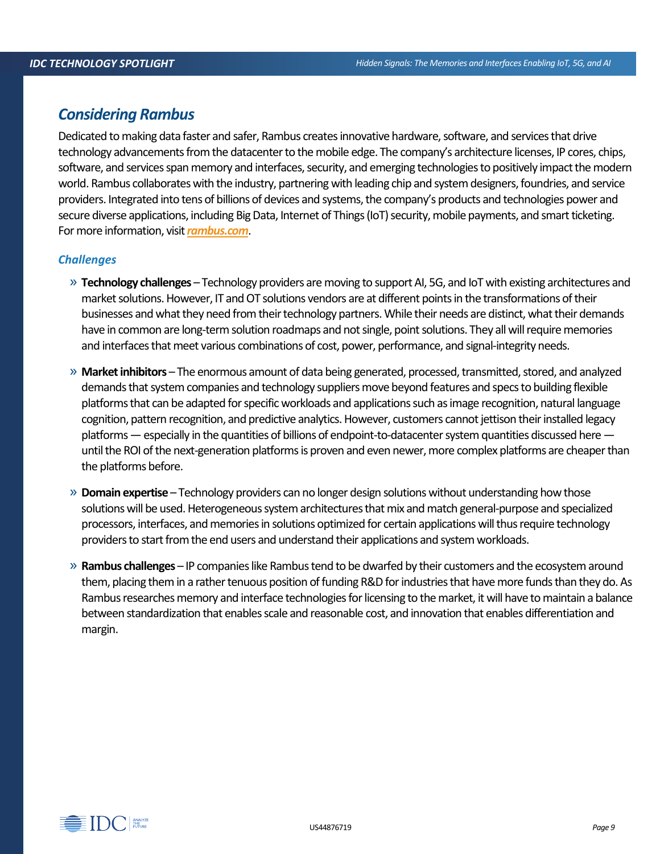## *Considering Rambus*

Dedicated to making data faster and safer, Rambus creates innovative hardware, software, and services that drive technology advancements from the datacenter to the mobile edge. The company's architecture licenses, IP cores, chips, software, and services span memory and interfaces, security, and emerging technologies to positively impact the modern world. Rambus collaborates with the industry, partnering with leading chip and system designers, foundries, and service providers. Integrated into tens of billions of devices and systems, the company's products and technologies power and secure diverse applications, including Big Data, Internet of Things (IoT) security, mobile payments, and smart ticketing. For more information, visit *[rambus.com](http://www.rambus.com/)*.

### *Challenges*

- » **Technology challenges** Technology providers are moving to support AI, 5G, and IoT with existing architectures and market solutions. However, IT and OT solutions vendors are at different points in the transformations of their businesses and what they need from their technology partners. While their needs are distinct, what their demands have in common are long-term solution roadmaps and not single, point solutions. They all will require memories and interfaces that meet various combinations of cost, power, performance, and signal-integrity needs.
- » **Market inhibitors** The enormous amount of data being generated, processed, transmitted, stored, and analyzed demands that system companies and technology suppliers move beyond features and specs to building flexible platforms that can be adapted for specific workloads and applications such as image recognition, natural language cognition, pattern recognition, and predictive analytics. However, customers cannot jettison their installed legacy platforms—especially in the quantities of billions of endpoint-to-datacenter system quantities discussed here until the ROI of the next-generation platforms is proven and even newer, more complex platforms are cheaper than the platforms before.
- » **Domain expertise** Technology providers can no longer design solutions without understanding how those solutions will be used. Heterogeneous system architectures that mix and match general-purpose and specialized processors, interfaces, and memories in solutions optimized for certain applications will thus require technology providers to start from the end users and understand their applications and system workloads.
- » **Rambus challenges** IP companies like Rambus tend to be dwarfed by their customers and the ecosystem around them, placing them in a rather tenuous position of funding R&D for industries that have more funds than they do. As Rambus researches memory and interface technologies for licensing to the market, it will have to maintain a balance between standardization that enables scale and reasonable cost, and innovation that enables differentiation and margin.